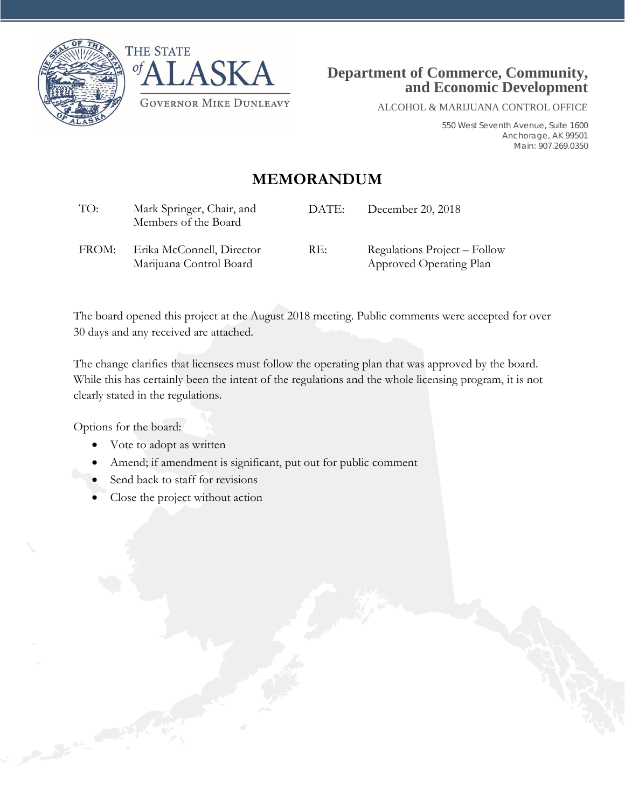



ALCOHOL & MARIJUANA CONTROL OFFICE

550 West Seventh Avenue, Suite 1600 Anchorage, AK 99501 Main: 907.269.0350

## **MEMORANDUM**

| TO:   | Mark Springer, Chair, and<br>Members of the Board    | DATE: | December 20, 2018                                       |
|-------|------------------------------------------------------|-------|---------------------------------------------------------|
| FROM: | Erika McConnell, Director<br>Marijuana Control Board | RE:   | Regulations Project – Follow<br>Approved Operating Plan |

The board opened this project at the August 2018 meeting. Public comments were accepted for over 30 days and any received are attached.

The change clarifies that licensees must follow the operating plan that was approved by the board. While this has certainly been the intent of the regulations and the whole licensing program, it is not clearly stated in the regulations.

Options for the board:

- Vote to adopt as written
- Amend; if amendment is significant, put out for public comment
- Send back to staff for revisions
- Close the project without action